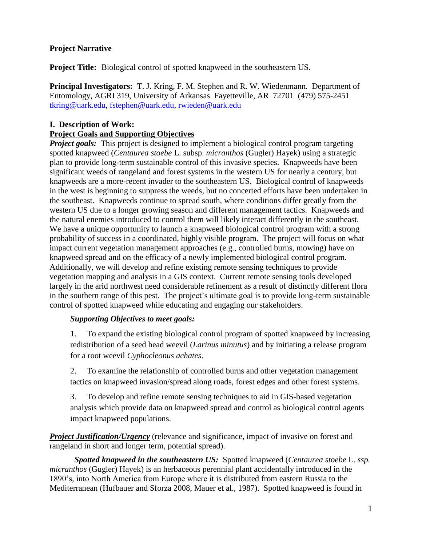## **Project Narrative**

**Project Title:** Biological control of spotted knapweed in the southeastern US.

**Principal Investigators:** T. J. Kring, F. M. Stephen and R. W. Wiedenmann. Department of Entomology, AGRI 319, University of Arkansas Fayetteville, AR 72701 (479) 575-2451 [tkring@uark.edu,](mailto:tkring@uark.edu) [fstephen@uark.edu,](mailto:fstephen@uark.edu) [rwieden@uark.edu](mailto:rwieden@uark.edu)

## **I. Description of Work:**

## **Project Goals and Supporting Objectives**

*Project goals:* This project is designed to implement a biological control program targeting spotted knapweed (*Centaurea stoebe* L. subsp. *micranthos* (Gugler) Hayek) using a strategic plan to provide long-term sustainable control of this invasive species. Knapweeds have been significant weeds of rangeland and forest systems in the western US for nearly a century, but knapweeds are a more-recent invader to the southeastern US. Biological control of knapweeds in the west is beginning to suppress the weeds, but no concerted efforts have been undertaken in the southeast. Knapweeds continue to spread south, where conditions differ greatly from the western US due to a longer growing season and different management tactics. Knapweeds and the natural enemies introduced to control them will likely interact differently in the southeast. We have a unique opportunity to launch a knapweed biological control program with a strong probability of success in a coordinated, highly visible program. The project will focus on what impact current vegetation management approaches (e.g., controlled burns, mowing) have on knapweed spread and on the efficacy of a newly implemented biological control program. Additionally, we will develop and refine existing remote sensing techniques to provide vegetation mapping and analysis in a GIS context. Current remote sensing tools developed largely in the arid northwest need considerable refinement as a result of distinctly different flora in the southern range of this pest. The project's ultimate goal is to provide long-term sustainable control of spotted knapweed while educating and engaging our stakeholders.

## *Supporting Objectives to meet goals:*

1. To expand the existing biological control program of spotted knapweed by increasing redistribution of a seed head weevil (*Larinus minutus*) and by initiating a release program for a root weevil *Cyphocleonus achates*.

2. To examine the relationship of controlled burns and other vegetation management tactics on knapweed invasion/spread along roads, forest edges and other forest systems.

3. To develop and refine remote sensing techniques to aid in GIS-based vegetation analysis which provide data on knapweed spread and control as biological control agents impact knapweed populations.

*Project Justification/Urgency* (relevance and significance, impact of invasive on forest and rangeland in short and longer term, potential spread).

*Spotted knapweed in the southeastern US:* Spotted knapweed (*Centaurea stoebe* L. *ssp. micranthos* (Gugler) Hayek) is an herbaceous perennial plant accidentally introduced in the 1890's, into North America from Europe where it is distributed from eastern Russia to the Mediterranean (Hufbauer and Sforza 2008, Mauer et al., 1987). Spotted knapweed is found in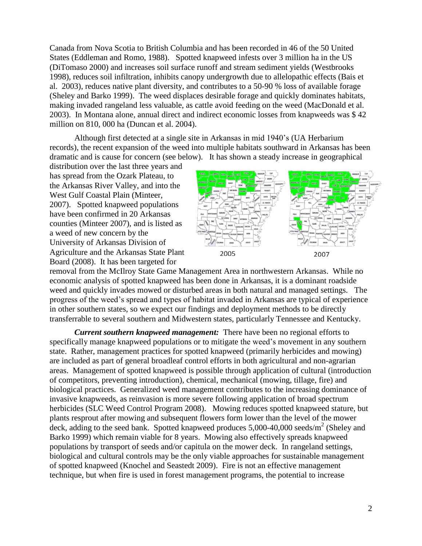Canada from Nova Scotia to British Columbia and has been recorded in 46 of the 50 United States (Eddleman and Romo, 1988). Spotted knapweed infests over 3 million ha in the US (DiTomaso 2000) and increases soil surface runoff and stream sediment yields (Westbrooks 1998), reduces soil infiltration, inhibits canopy undergrowth due to allelopathic effects (Bais et al. 2003), reduces native plant diversity, and contributes to a 50-90 % loss of available forage (Sheley and Barko 1999). The weed displaces desirable forage and quickly dominates habitats, making invaded rangeland less valuable, as cattle avoid feeding on the weed (MacDonald et al. 2003). In Montana alone, annual direct and indirect economic losses from knapweeds was \$ 42 million on 810, 000 ha (Duncan et al. 2004).

Although first detected at a single site in Arkansas in mid 1940's (UA Herbarium records), the recent expansion of the weed into multiple habitats southward in Arkansas has been dramatic and is cause for concern (see below). It has shown a steady increase in geographical

distribution over the last three years and has spread from the Ozark Plateau, to the Arkansas River Valley, and into the West Gulf Coastal Plain (Minteer, 2007). Spotted knapweed populations have been confirmed in 20 Arkansas counties (Minteer 2007), and is listed as a weed of new concern by the University of Arkansas Division of Agriculture and the Arkansas State Plant Board (2008). It has been targeted for



removal from the McIlroy State Game Management Area in northwestern Arkansas. While no economic analysis of spotted knapweed has been done in Arkansas, it is a dominant roadside weed and quickly invades mowed or disturbed areas in both natural and managed settings. The progress of the weed's spread and types of habitat invaded in Arkansas are typical of experience in other southern states, so we expect our findings and deployment methods to be directly transferrable to several southern and Midwestern states, particularly Tennessee and Kentucky.

*Current southern knapweed management:* There have been no regional efforts to specifically manage knapweed populations or to mitigate the weed's movement in any southern state. Rather, management practices for spotted knapweed (primarily herbicides and mowing) are included as part of general broadleaf control efforts in both agricultural and non-agrarian areas. Management of spotted knapweed is possible through application of cultural (introduction of competitors, preventing introduction), chemical, mechanical (mowing, tillage, fire) and biological practices. Generalized weed management contributes to the increasing dominance of invasive knapweeds, as reinvasion is more severe following application of broad spectrum herbicides (SLC Weed Control Program 2008). Mowing reduces spotted knapweed stature, but plants resprout after mowing and subsequent flowers form lower than the level of the mower deck, adding to the seed bank. Spotted knapweed produces  $5,000$ -40,000 seeds/m<sup>2</sup> (Sheley and Barko 1999) which remain viable for 8 years. Mowing also effectively spreads knapweed populations by transport of seeds and/or capitula on the mower deck. In rangeland settings, biological and cultural controls may be the only viable approaches for sustainable management of spotted knapweed (Knochel and Seastedt 2009). Fire is not an effective management technique, but when fire is used in forest management programs, the potential to increase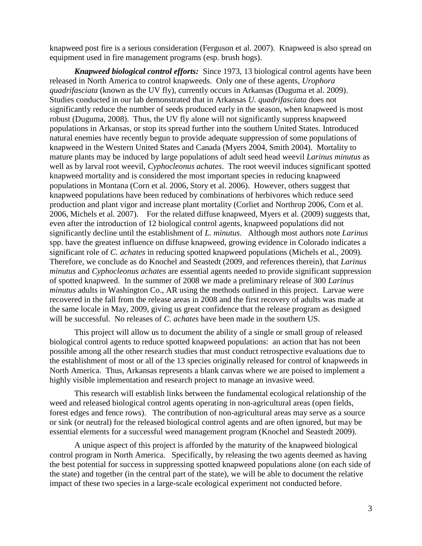knapweed post fire is a serious consideration (Ferguson et al. 2007). Knapweed is also spread on equipment used in fire management programs (esp. brush hogs).

*Knapweed biological control efforts:* Since 1973, 13 biological control agents have been released in North America to control knapweeds. Only one of these agents, *Urophora quadrifasciata* (known as the UV fly), currently occurs in Arkansas (Duguma et al. 2009). Studies conducted in our lab demonstrated that in Arkansas *U. quadrifasciata* does not significantly reduce the number of seeds produced early in the season, when knapweed is most robust (Duguma, 2008). Thus, the UV fly alone will not significantly suppress knapweed populations in Arkansas, or stop its spread further into the southern United States. Introduced natural enemies have recently begun to provide adequate suppression of some populations of knapweed in the Western United States and Canada (Myers 2004, Smith 2004). Mortality to mature plants may be induced by large populations of adult seed head weevil *Larinus minutus* as well as by larval root weevil, *Cyphocleonus achates*. The root weevil induces significant spotted knapweed mortality and is considered the most important species in reducing knapweed populations in Montana (Corn et al. 2006, Story et al. 2006). However, others suggest that knapweed populations have been reduced by combinations of herbivores which reduce seed production and plant vigor and increase plant mortality (Corliet and Northrop 2006, Corn et al. 2006, Michels et al. 2007). For the related diffuse knapweed, Myers et al. (2009) suggests that, even after the introduction of 12 biological control agents, knapweed populations did not significantly decline until the establishment of *L. minutus*. Although most authors note *Larinus* spp. have the greatest influence on diffuse knapweed, growing evidence in Colorado indicates a significant role of *C. achates* in reducing spotted knapweed populations (Michels et al., 2009). Therefore, we conclude as do Knochel and Seastedt (2009, and references therein), that *Larinus minutus* and *Cyphocleonus achates* are essential agents needed to provide significant suppression of spotted knapweed. In the summer of 2008 we made a preliminary release of 300 *Larinus minutus* adults in Washington Co., AR using the methods outlined in this project. Larvae were recovered in the fall from the release areas in 2008 and the first recovery of adults was made at the same locale in May, 2009, giving us great confidence that the release program as designed will be successful. No releases of *C. achates* have been made in the southern US.

This project will allow us to document the ability of a single or small group of released biological control agents to reduce spotted knapweed populations: an action that has not been possible among all the other research studies that must conduct retrospective evaluations due to the establishment of most or all of the 13 species originally released for control of knapweeds in North America. Thus, Arkansas represents a blank canvas where we are poised to implement a highly visible implementation and research project to manage an invasive weed.

This research will establish links between the fundamental ecological relationship of the weed and released biological control agents operating in non-agricultural areas (open fields, forest edges and fence rows). The contribution of non-agricultural areas may serve as a source or sink (or neutral) for the released biological control agents and are often ignored, but may be essential elements for a successful weed management program (Knochel and Seastedt 2009).

A unique aspect of this project is afforded by the maturity of the knapweed biological control program in North America. Specifically, by releasing the two agents deemed as having the best potential for success in suppressing spotted knapweed populations alone (on each side of the state) and together (in the central part of the state), we will be able to document the relative impact of these two species in a large-scale ecological experiment not conducted before.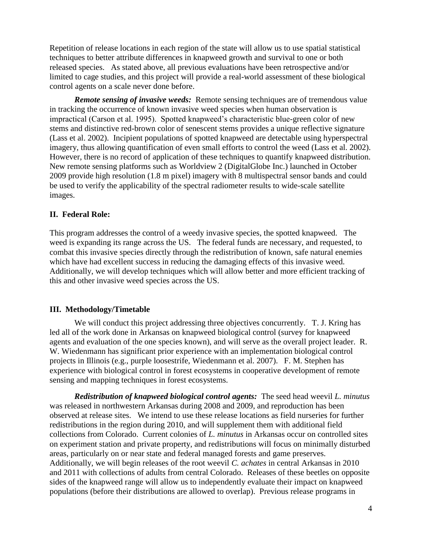Repetition of release locations in each region of the state will allow us to use spatial statistical techniques to better attribute differences in knapweed growth and survival to one or both released species. As stated above, all previous evaluations have been retrospective and/or limited to cage studies, and this project will provide a real-world assessment of these biological control agents on a scale never done before.

*Remote sensing of invasive weeds:* Remote sensing techniques are of tremendous value in tracking the occurrence of known invasive weed species when human observation is impractical (Carson et al. 1995). Spotted knapweed's characteristic blue-green color of new stems and distinctive red-brown color of senescent stems provides a unique reflective signature (Lass et al. 2002). Incipient populations of spotted knapweed are detectable using hyperspectral imagery, thus allowing quantification of even small efforts to control the weed (Lass et al. 2002). However, there is no record of application of these techniques to quantify knapweed distribution. New remote sensing platforms such as Worldview 2 (DigitalGlobe Inc.) launched in October 2009 provide high resolution (1.8 m pixel) imagery with 8 multispectral sensor bands and could be used to verify the applicability of the spectral radiometer results to wide-scale satellite images.

### **II. Federal Role:**

This program addresses the control of a weedy invasive species, the spotted knapweed. The weed is expanding its range across the US. The federal funds are necessary, and requested, to combat this invasive species directly through the redistribution of known, safe natural enemies which have had excellent success in reducing the damaging effects of this invasive weed. Additionally, we will develop techniques which will allow better and more efficient tracking of this and other invasive weed species across the US.

## **III. Methodology/Timetable**

We will conduct this project addressing three objectives concurrently. T. J. Kring has led all of the work done in Arkansas on knapweed biological control (survey for knapweed agents and evaluation of the one species known), and will serve as the overall project leader. R. W. Wiedenmann has significant prior experience with an implementation biological control projects in Illinois (e.g., purple loosestrife, Wiedenmann et al. 2007). F. M. Stephen has experience with biological control in forest ecosystems in cooperative development of remote sensing and mapping techniques in forest ecosystems.

*Redistribution of knapweed biological control agents:* The seed head weevil *L. minutus* was released in northwestern Arkansas during 2008 and 2009, and reproduction has been observed at release sites. We intend to use these release locations as field nurseries for further redistributions in the region during 2010, and will supplement them with additional field collections from Colorado. Current colonies of *L. minutus* in Arkansas occur on controlled sites on experiment station and private property, and redistributions will focus on minimally disturbed areas, particularly on or near state and federal managed forests and game preserves. Additionally, we will begin releases of the root weevil *C. achates* in central Arkansas in 2010 and 2011 with collections of adults from central Colorado. Releases of these beetles on opposite sides of the knapweed range will allow us to independently evaluate their impact on knapweed populations (before their distributions are allowed to overlap). Previous release programs in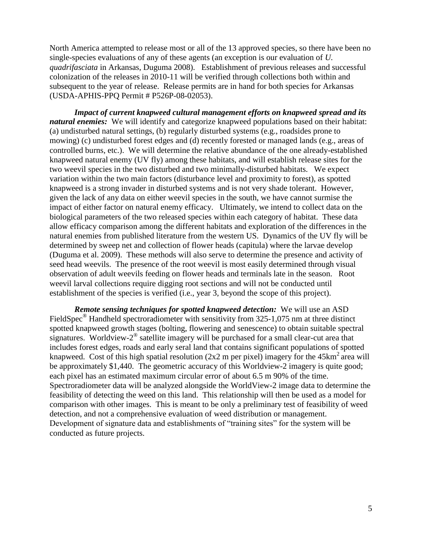North America attempted to release most or all of the 13 approved species, so there have been no single-species evaluations of any of these agents (an exception is our evaluation of *U. quadrifasciata* in Arkansas, Duguma 2008). Establishment of previous releases and successful colonization of the releases in 2010-11 will be verified through collections both within and subsequent to the year of release. Release permits are in hand for both species for Arkansas (USDA-APHIS-PPQ Permit # P526P-08-02053).

*Impact of current knapweed cultural management efforts on knapweed spread and its natural enemies:* We will identify and categorize knapweed populations based on their habitat: (a) undisturbed natural settings, (b) regularly disturbed systems (e.g., roadsides prone to mowing) (c) undisturbed forest edges and (d) recently forested or managed lands (e.g., areas of controlled burns, etc.). We will determine the relative abundance of the one already-established knapweed natural enemy (UV fly) among these habitats, and will establish release sites for the two weevil species in the two disturbed and two minimally-disturbed habitats. We expect variation within the two main factors (disturbance level and proximity to forest), as spotted knapweed is a strong invader in disturbed systems and is not very shade tolerant. However, given the lack of any data on either weevil species in the south, we have cannot surmise the impact of either factor on natural enemy efficacy. Ultimately, we intend to collect data on the biological parameters of the two released species within each category of habitat. These data allow efficacy comparison among the different habitats and exploration of the differences in the natural enemies from published literature from the western US. Dynamics of the UV fly will be determined by sweep net and collection of flower heads (capitula) where the larvae develop (Duguma et al. 2009). These methods will also serve to determine the presence and activity of seed head weevils. The presence of the root weevil is most easily determined through visual observation of adult weevils feeding on flower heads and terminals late in the season. Root weevil larval collections require digging root sections and will not be conducted until establishment of the species is verified (i.e., year 3, beyond the scope of this project).

*Remote sensing techniques for spotted knapweed detection:* We will use an ASD FieldSpec<sup>®</sup> Handheld spectroradiometer with sensitivity from 325-1,075 nm at three distinct spotted knapweed growth stages (bolting, flowering and senescence) to obtain suitable spectral signatures. Worldview-2<sup>®</sup> satellite imagery will be purchased for a small clear-cut area that includes forest edges, roads and early seral land that contains significant populations of spotted knapweed. Cost of this high spatial resolution ( $2x2$  m per pixel) imagery for the  $45 \text{km}^2$  area will be approximately \$1,440. The geometric accuracy of this Worldview-2 imagery is quite good; each pixel has an estimated maximum circular error of about 6.5 m 90% of the time. Spectroradiometer data will be analyzed alongside the WorldView-2 image data to determine the feasibility of detecting the weed on this land. This relationship will then be used as a model for comparison with other images. This is meant to be only a preliminary test of feasibility of weed detection, and not a comprehensive evaluation of weed distribution or management. Development of signature data and establishments of "training sites" for the system will be conducted as future projects.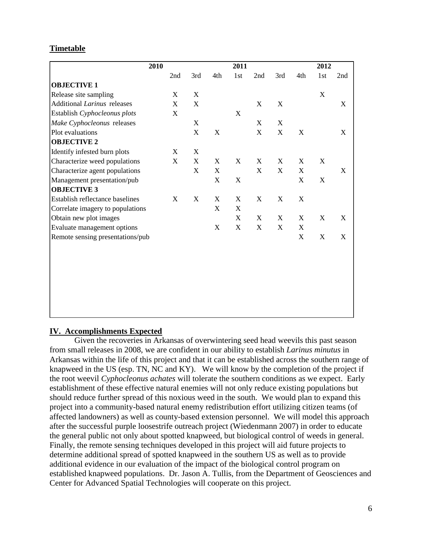### **Timetable**

| 2010                             |                           |                           |             | 2011                      |                           |             |             | 2012                      |             |
|----------------------------------|---------------------------|---------------------------|-------------|---------------------------|---------------------------|-------------|-------------|---------------------------|-------------|
|                                  | 2nd                       | 3rd                       | 4th         | 1st                       | 2nd                       | 3rd         | 4th         | 1st                       | 2nd         |
| <b>OBJECTIVE 1</b>               |                           |                           |             |                           |                           |             |             |                           |             |
| Release site sampling            | X                         | $\mathbf X$               |             |                           |                           |             |             | $\mathbf X$               |             |
| Additional Larinus releases      | $\boldsymbol{\mathrm{X}}$ | $\mathbf X$               |             |                           | $\mathbf X$               | $\mathbf X$ |             |                           | X           |
| Establish Cyphocleonus plots     | $\boldsymbol{\mathrm{X}}$ |                           |             | $\mathbf X$               |                           |             |             |                           |             |
| Make Cyphocleonus releases       |                           | $\boldsymbol{\mathrm{X}}$ |             |                           | $\boldsymbol{\mathrm{X}}$ | X           |             |                           |             |
| Plot evaluations                 |                           | $\mathbf X$               | X           |                           | $\boldsymbol{\mathrm{X}}$ | X           | X           |                           | X           |
| <b>OBJECTIVE 2</b>               |                           |                           |             |                           |                           |             |             |                           |             |
| Identify infested burn plots     | X                         | $\mathbf X$               |             |                           |                           |             |             |                           |             |
| Characterize weed populations    | $\boldsymbol{\mathrm{X}}$ | $\mathbf X$               | X           | $\mathbf X$               | X                         | X           | $\mathbf X$ | X                         |             |
| Characterize agent populations   |                           | $\mathbf X$               | X           |                           | $\mathbf X$               | X           | $\mathbf X$ |                           | $\mathbf X$ |
| Management presentation/pub      |                           |                           | X           | $\mathbf X$               |                           |             | $\mathbf X$ | $\mathbf X$               |             |
| <b>OBJECTIVE 3</b>               |                           |                           |             |                           |                           |             |             |                           |             |
| Establish reflectance baselines  | $\boldsymbol{\mathrm{X}}$ | $\mathbf X$               | X           | X                         | $\mathbf X$               | $\mathbf X$ | X           |                           |             |
| Correlate imagery to populations |                           |                           | X           | $\boldsymbol{\mathrm{X}}$ |                           |             |             |                           |             |
| Obtain new plot images           |                           |                           |             | X                         | X                         | X           | X           | X                         | X           |
| Evaluate management options      |                           |                           | $\mathbf X$ | $\mathbf X$               | $\mathbf X$               | X           | X           |                           |             |
| Remote sensing presentations/pub |                           |                           |             |                           |                           |             | $\mathbf X$ | $\boldsymbol{\mathrm{X}}$ | X           |
|                                  |                           |                           |             |                           |                           |             |             |                           |             |
|                                  |                           |                           |             |                           |                           |             |             |                           |             |
|                                  |                           |                           |             |                           |                           |             |             |                           |             |
|                                  |                           |                           |             |                           |                           |             |             |                           |             |
|                                  |                           |                           |             |                           |                           |             |             |                           |             |
|                                  |                           |                           |             |                           |                           |             |             |                           |             |

#### **IV. Accomplishments Expected**

 Given the recoveries in Arkansas of overwintering seed head weevils this past season from small releases in 2008, we are confident in our ability to establish *Larinus minutus* in Arkansas within the life of this project and that it can be established across the southern range of knapweed in the US (esp. TN, NC and KY). We will know by the completion of the project if the root weevil *Cyphocleonus achates* will tolerate the southern conditions as we expect. Early establishment of these effective natural enemies will not only reduce existing populations but should reduce further spread of this noxious weed in the south. We would plan to expand this project into a community-based natural enemy redistribution effort utilizing citizen teams (of affected landowners) as well as county-based extension personnel. We will model this approach after the successful purple loosestrife outreach project (Wiedenmann 2007) in order to educate the general public not only about spotted knapweed, but biological control of weeds in general. Finally, the remote sensing techniques developed in this project will aid future projects to determine additional spread of spotted knapweed in the southern US as well as to provide additional evidence in our evaluation of the impact of the biological control program on established knapweed populations. Dr. Jason A. Tullis, from the Department of Geosciences and Center for Advanced Spatial Technologies will cooperate on this project.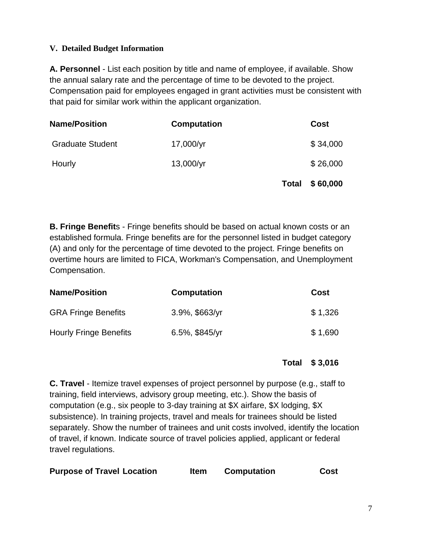## **V. Detailed Budget Information**

**A. Personnel** - List each position by title and name of employee, if available. Show the annual salary rate and the percentage of time to be devoted to the project. Compensation paid for employees engaged in grant activities must be consistent with that paid for similar work within the applicant organization.

| <b>Name/Position</b>    | <b>Computation</b> |              | Cost     |
|-------------------------|--------------------|--------------|----------|
| <b>Graduate Student</b> | $17,000/\gamma r$  |              | \$34,000 |
| Hourly                  | $13,000/\gamma r$  |              | \$26,000 |
|                         |                    | <b>Total</b> | \$60,000 |

**B. Fringe Benefit**s - Fringe benefits should be based on actual known costs or an established formula. Fringe benefits are for the personnel listed in budget category (A) and only for the percentage of time devoted to the project. Fringe benefits on overtime hours are limited to FICA, Workman's Compensation, and Unemployment Compensation.

| <b>Name/Position</b>          | <b>Computation</b> | Cost    |
|-------------------------------|--------------------|---------|
| <b>GRA Fringe Benefits</b>    | $3.9\%$ , \$663/yr | \$1,326 |
| <b>Hourly Fringe Benefits</b> | 6.5%, $$845/yr$    | \$1,690 |

# **Total \$ 3,016**

**C. Travel** - Itemize travel expenses of project personnel by purpose (e.g., staff to training, field interviews, advisory group meeting, etc.). Show the basis of computation (e.g., six people to 3-day training at \$X airfare, \$X lodging, \$X subsistence). In training projects, travel and meals for trainees should be listed separately. Show the number of trainees and unit costs involved, identify the location of travel, if known. Indicate source of travel policies applied, applicant or federal travel regulations.

| <b>Purpose of Travel Location</b> | <b>Item</b> | <b>Computation</b> | <b>Cost</b> |
|-----------------------------------|-------------|--------------------|-------------|
|                                   |             |                    |             |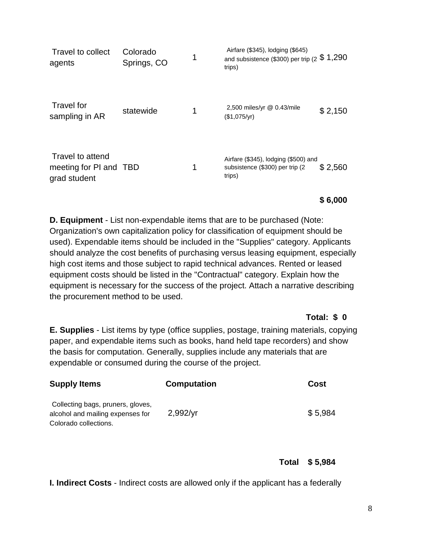| Travel to collect<br>agents                                | Colorado<br>Springs, CO | 1 | Airfare (\$345), lodging (\$645)<br>and subsistence (\$300) per trip (2 $$1,290$<br>trips) |         |
|------------------------------------------------------------|-------------------------|---|--------------------------------------------------------------------------------------------|---------|
| <b>Travel for</b><br>sampling in AR                        | statewide               | 1 | 2,500 miles/yr @ 0.43/mile<br>(\$1,075/yr)                                                 | \$2,150 |
| Travel to attend<br>meeting for PI and TBD<br>grad student |                         | 1 | Airfare (\$345), lodging (\$500) and<br>subsistence (\$300) per trip (2)<br>trips)         | \$2,560 |

## **\$ 6,000**

**D. Equipment** - List non-expendable items that are to be purchased (Note: Organization's own capitalization policy for classification of equipment should be used). Expendable items should be included in the "Supplies" category. Applicants should analyze the cost benefits of purchasing versus leasing equipment, especially high cost items and those subject to rapid technical advances. Rented or leased equipment costs should be listed in the "Contractual" category. Explain how the equipment is necessary for the success of the project. Attach a narrative describing the procurement method to be used.

## **Total: \$ 0**

**E. Supplies** - List items by type (office supplies, postage, training materials, copying paper, and expendable items such as books, hand held tape recorders) and show the basis for computation. Generally, supplies include any materials that are expendable or consumed during the course of the project.

| <b>Supply Items</b>                                                                            | <b>Computation</b> | Cost    |
|------------------------------------------------------------------------------------------------|--------------------|---------|
| Collecting bags, pruners, gloves,<br>alcohol and mailing expenses for<br>Colorado collections. | 2,992/yr           | \$5,984 |

# **Total \$ 5,984**

**I. Indirect Costs** - Indirect costs are allowed only if the applicant has a federally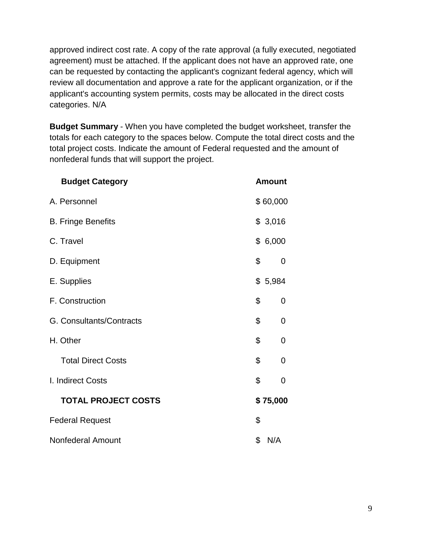approved indirect cost rate. A copy of the rate approval (a fully executed, negotiated agreement) must be attached. If the applicant does not have an approved rate, one can be requested by contacting the applicant's cognizant federal agency, which will review all documentation and approve a rate for the applicant organization, or if the applicant's accounting system permits, costs may be allocated in the direct costs categories. N/A

**Budget Summary** - When you have completed the budget worksheet, transfer the totals for each category to the spaces below. Compute the total direct costs and the total project costs. Indicate the amount of Federal requested and the amount of nonfederal funds that will support the project.

| <b>Budget Category</b>     | <b>Amount</b> |
|----------------------------|---------------|
| A. Personnel               | \$60,000      |
| <b>B. Fringe Benefits</b>  | \$3,016       |
| C. Travel                  | \$6,000       |
| D. Equipment               | \$<br>0       |
| E. Supplies                | \$5,984       |
| F. Construction            | \$<br>0       |
| G. Consultants/Contracts   | \$<br>0       |
| H. Other                   | \$<br>0       |
| <b>Total Direct Costs</b>  | \$<br>0       |
| I. Indirect Costs          | \$<br>0       |
| <b>TOTAL PROJECT COSTS</b> | \$75,000      |
| <b>Federal Request</b>     | \$            |
| Nonfederal Amount          | \$<br>N/A     |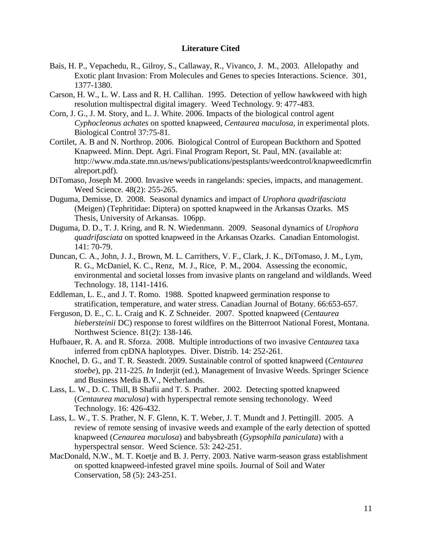#### **Literature Cited**

- Bais, H. P., Vepachedu, R., Gilroy, S., Callaway, R., Vivanco, J. M., 2003. Allelopathy and Exotic plant Invasion: From Molecules and Genes to species Interactions. Science. 301, 1377-1380.
- Carson, H. W., L. W. Lass and R. H. Callihan. 1995. Detection of yellow hawkweed with high resolution multispectral digital imagery. Weed Technology. 9: 477-483.
- Corn, J. G., J. M. Story, and L. J. White. 2006. Impacts of the biological control agent *Cyphocleonus achates* on spotted knapweed, *Centaurea maculosa*, in experimental plots. Biological Control 37:75-81.
- Cortilet, A. B and N. Northrop. 2006. Biological Control of European Buckthorn and Spotted Knapweed. Minn. Dept. Agri. Final Program Report, St. Paul, MN. (available at: http://www.mda.state.mn.us/news/publications/pestsplants/weedcontrol/knapweedlcmrfin alreport.pdf).
- DiTomaso, Joseph M. 2000. Invasive weeds in rangelands: species, impacts, and management. Weed Science. 48(2): 255-265.
- Duguma, Demisse, D. 2008. Seasonal dynamics and impact of *Urophora quadrifasciata* (Meigen) (Tephritidae: Diptera) on spotted knapweed in the Arkansas Ozarks. MS Thesis, University of Arkansas. 106pp.
- Duguma, D. D., T. J. Kring, and R. N. Wiedenmann. 2009. Seasonal dynamics of *Urophora quadrifasciata* on spotted knapweed in the Arkansas Ozarks. Canadian Entomologist. 141: 70-79.
- Duncan, C. A., John, J. J., Brown, M. L. Carrithers, V. F., Clark, J. K., DiTomaso, J. M., Lym, R. G., McDaniel, K. C., Renz, M. J., Rice, P. M., 2004. Assessing the economic, environmental and societal losses from invasive plants on rangeland and wildlands. Weed Technology. 18, 1141-1416.
- Eddleman, L. E., and J. T. Romo. 1988. Spotted knapweed germination response to stratification, temperature, and water stress. Canadian Journal of Botany. 66:653-657.
- Ferguson, D. E., C. L. Craig and K. Z Schneider. 2007. Spotted knapweed (*Centaurea biebersteinii* DC) response to forest wildfires on the Bitterroot National Forest, Montana. Northwest Science. 81(2): 138-146.
- Hufbauer, R. A. and R. Sforza. 2008. Multiple introductions of two invasive *Centaurea* taxa inferred from cpDNA haplotypes. Diver. Distrib. 14: 252-261.
- Knochel, D. G., and T. R. Seastedt. 2009. Sustainable control of spotted knapweed (*Centaurea stoebe*), pp. 211-225. *In* Inderjit (ed.), Management of Invasive Weeds. Springer Science and Business Media B.V., Netherlands.
- Lass, L. W., D. C. Thill, B Shafii and T. S. Prather. 2002. Detecting spotted knapweed (*Centaurea maculosa*) with hyperspectral remote sensing techonology. Weed Technology. 16: 426-432.
- Lass, L. W., T. S. Prather, N. F. Glenn, K. T. Weber, J. T. Mundt and J. Pettingill. 2005. A review of remote sensing of invasive weeds and example of the early detection of spotted knapweed (*Cenaurea maculosa*) and babysbreath (*Gypsophila paniculata*) with a hyperspectral sensor. Weed Science. 53: 242-251.
- MacDonald, N.W., M. T. Koetje and B. J. Perry. 2003. Native warm-season grass establishment on spotted knapweed-infested gravel mine spoils. Journal of Soil and Water Conservation, 58 (5): 243-251.